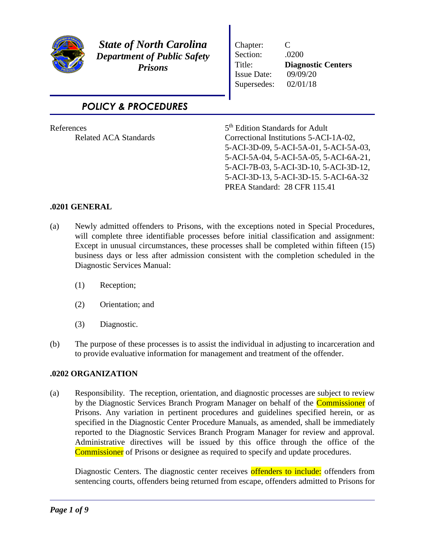

*State of North Carolina Department of Public Safety Prisons*

Chapter: C Section: .0200 Title: **Diagnostic Centers**  Issue Date: 09/09/20 Supersedes: 02/01/18

*POLICY & PROCEDURES*

| References                   | 5 <sup>th</sup> Edition Standards for Adult |
|------------------------------|---------------------------------------------|
| <b>Related ACA Standards</b> | Correctional Institutions 5-ACI-1A-02,      |
|                              | 5-ACI-3D-09, 5-ACI-5A-01, 5-ACI-5A-03,      |
|                              | 5-ACI-5A-04, 5-ACI-5A-05, 5-ACI-6A-21,      |
|                              | 5-ACI-7B-03, 5-ACI-3D-10, 5-ACI-3D-12,      |
|                              | 5-ACI-3D-13, 5-ACI-3D-15. 5-ACI-6A-32       |
|                              | PREA Standard: 28 CFR 115.41                |
|                              |                                             |

## **.0201 GENERAL**

- (a) Newly admitted offenders to Prisons, with the exceptions noted in Special Procedures, will complete three identifiable processes before initial classification and assignment: Except in unusual circumstances, these processes shall be completed within fifteen (15) business days or less after admission consistent with the completion scheduled in the Diagnostic Services Manual:
	- (1) Reception;
	- (2) Orientation; and
	- (3) Diagnostic.
- (b) The purpose of these processes is to assist the individual in adjusting to incarceration and to provide evaluative information for management and treatment of the offender.

## **.0202 ORGANIZATION**

(a) Responsibility. The reception, orientation, and diagnostic processes are subject to review by the Diagnostic Services Branch Program Manager on behalf of the **Commissioner** of Prisons. Any variation in pertinent procedures and guidelines specified herein, or as specified in the Diagnostic Center Procedure Manuals, as amended, shall be immediately reported to the Diagnostic Services Branch Program Manager for review and approval. Administrative directives will be issued by this office through the office of the Commissioner of Prisons or designee as required to specify and update procedures.

Diagnostic Centers. The diagnostic center receives offenders to include: offenders from sentencing courts, offenders being returned from escape, offenders admitted to Prisons for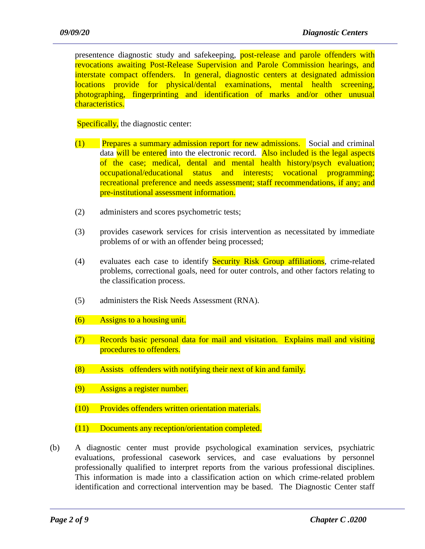presentence diagnostic study and safekeeping, **post-release and parole offenders with** revocations awaiting Post-Release Supervision and Parole Commission hearings, and interstate compact offenders. In general, diagnostic centers at designated admission locations provide for physical/dental examinations, mental health screening, photographing, fingerprinting and identification of marks and/or other unusual characteristics.

Specifically, the diagnostic center:

- (1) Prepares a summary admission report for new admissions. Social and criminal data will be entered into the electronic record. Also included is the legal aspects of the case; medical, dental and mental health history/psych evaluation; occupational/educational status and interests; vocational programming; recreational preference and needs assessment; staff recommendations, if any; and pre-institutional assessment information.
- (2) administers and scores psychometric tests;
- (3) provides casework services for crisis intervention as necessitated by immediate problems of or with an offender being processed;
- (4) evaluates each case to identify **Security Risk Group affiliations**, crime-related problems, correctional goals, need for outer controls, and other factors relating to the classification process.
- (5) administers the Risk Needs Assessment (RNA).
- (6) Assigns to a housing unit.
- (7) Records basic personal data for mail and visitation. Explains mail and visiting procedures to offenders.
- (8) Assists offenders with notifying their next of kin and family.
- (9) Assigns a register number.
- (10) Provides offenders written orientation materials.
- (11) Documents any reception/orientation completed.
- (b) A diagnostic center must provide psychological examination services, psychiatric evaluations, professional casework services, and case evaluations by personnel professionally qualified to interpret reports from the various professional disciplines. This information is made into a classification action on which crime-related problem identification and correctional intervention may be based. The Diagnostic Center staff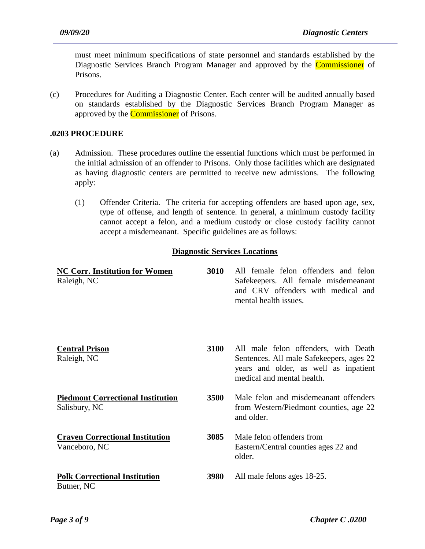must meet minimum specifications of state personnel and standards established by the Diagnostic Services Branch Program Manager and approved by the **Commissioner** of Prisons.

(c) Procedures for Auditing a Diagnostic Center. Each center will be audited annually based on standards established by the Diagnostic Services Branch Program Manager as approved by the **Commissioner** of Prisons.

### **.0203 PROCEDURE**

- (a) Admission. These procedures outline the essential functions which must be performed in the initial admission of an offender to Prisons. Only those facilities which are designated as having diagnostic centers are permitted to receive new admissions. The following apply:
	- (1) Offender Criteria. The criteria for accepting offenders are based upon age, sex, type of offense, and length of sentence. In general, a minimum custody facility cannot accept a felon, and a medium custody or close custody facility cannot accept a misdemeanant. Specific guidelines are as follows:

#### **Diagnostic Services Locations**

| <b>NC Corr. Institution for Women</b><br>Raleigh, NC      | 3010 | All female felon offenders and felon<br>Safekeepers. All female misdemeanant<br>and CRV offenders with medical and<br>mental health issues.             |
|-----------------------------------------------------------|------|---------------------------------------------------------------------------------------------------------------------------------------------------------|
| <b>Central Prison</b><br>Raleigh, NC                      | 3100 | All male felon offenders, with Death<br>Sentences. All male Safekeepers, ages 22<br>years and older, as well as inpatient<br>medical and mental health. |
| <b>Piedmont Correctional Institution</b><br>Salisbury, NC | 3500 | Male felon and misdemeanant offenders<br>from Western/Piedmont counties, age 22<br>and older.                                                           |
| <b>Craven Correctional Institution</b><br>Vanceboro, NC   | 3085 | Male felon offenders from<br>Eastern/Central counties ages 22 and<br>older.                                                                             |
| <b>Polk Correctional Institution</b><br>Butner, NC        | 3980 | All male felons ages 18-25.                                                                                                                             |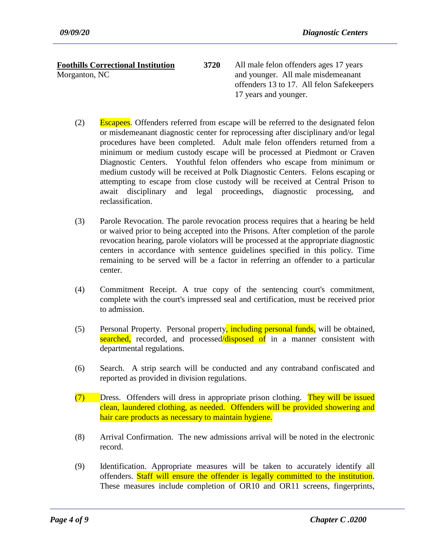# **Foothills Correctional Institution**

Morganton, NC

- **3720**  All male felon offenders ages 17 years and younger. All male misdemeanant offenders 13 to 17. All felon Safekeepers 17 years and younger.
- (2) Escapees. Offenders referred from escape will be referred to the designated felon or misdemeanant diagnostic center for reprocessing after disciplinary and/or legal procedures have been completed. Adult male felon offenders returned from a minimum or medium custody escape will be processed at Piedmont or Craven Diagnostic Centers. Youthful felon offenders who escape from minimum or medium custody will be received at Polk Diagnostic Centers. Felons escaping or attempting to escape from close custody will be received at Central Prison to await disciplinary and legal proceedings, diagnostic processing, and reclassification.
- (3) Parole Revocation. The parole revocation process requires that a hearing be held or waived prior to being accepted into the Prisons. After completion of the parole revocation hearing, parole violators will be processed at the appropriate diagnostic centers in accordance with sentence guidelines specified in this policy. Time remaining to be served will be a factor in referring an offender to a particular center.
- (4) Commitment Receipt. A true copy of the sentencing court's commitment, complete with the court's impressed seal and certification, must be received prior to admission.
- (5) Personal Property. Personal property, including personal funds, will be obtained, searched, recorded, and processed/disposed of in a manner consistent with departmental regulations.
- (6) Search. A strip search will be conducted and any contraband confiscated and reported as provided in division regulations.
- (7) Dress. Offenders will dress in appropriate prison clothing. They will be issued clean, laundered clothing, as needed. Offenders will be provided showering and hair care products as necessary to maintain hygiene.
- (8) Arrival Confirmation. The new admissions arrival will be noted in the electronic record.
- (9) Identification. Appropriate measures will be taken to accurately identify all offenders. Staff will ensure the offender is legally committed to the institution. These measures include completion of OR10 and OR11 screens, fingerprints,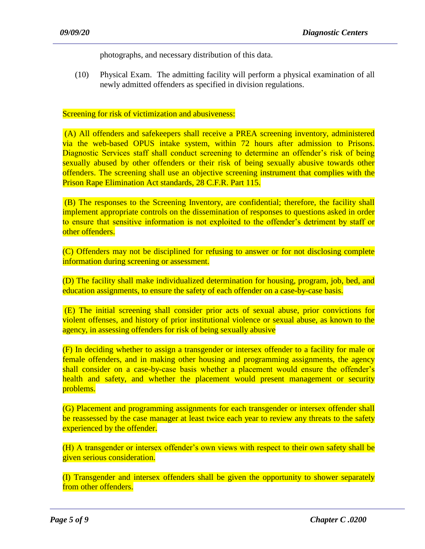photographs, and necessary distribution of this data.

(10) Physical Exam. The admitting facility will perform a physical examination of all newly admitted offenders as specified in division regulations.

#### Screening for risk of victimization and abusiveness:

(A) All offenders and safekeepers shall receive a PREA screening inventory, administered via the web-based OPUS intake system, within 72 hours after admission to Prisons. Diagnostic Services staff shall conduct screening to determine an offender's risk of being sexually abused by other offenders or their risk of being sexually abusive towards other offenders. The screening shall use an objective screening instrument that complies with the Prison Rape Elimination Act standards, 28 C.F.R. Part 115.

(B) The responses to the Screening Inventory, are confidential; therefore, the facility shall implement appropriate controls on the dissemination of responses to questions asked in order to ensure that sensitive information is not exploited to the offender's detriment by staff or other offenders.

(C) Offenders may not be disciplined for refusing to answer or for not disclosing complete information during screening or assessment.

(D) The facility shall make individualized determination for housing, program, job, bed, and education assignments, to ensure the safety of each offender on a case-by-case basis.

(E) The initial screening shall consider prior acts of sexual abuse, prior convictions for violent offenses, and history of prior institutional violence or sexual abuse, as known to the agency, in assessing offenders for risk of being sexually abusive

(F) In deciding whether to assign a transgender or intersex offender to a facility for male or female offenders, and in making other housing and programming assignments, the agency shall consider on a case-by-case basis whether a placement would ensure the offender's health and safety, and whether the placement would present management or security problems.

(G) Placement and programming assignments for each transgender or intersex offender shall be reassessed by the case manager at least twice each year to review any threats to the safety experienced by the offender.

(H) A transgender or intersex offender's own views with respect to their own safety shall be given serious consideration.

(I) Transgender and intersex offenders shall be given the opportunity to shower separately from other offenders.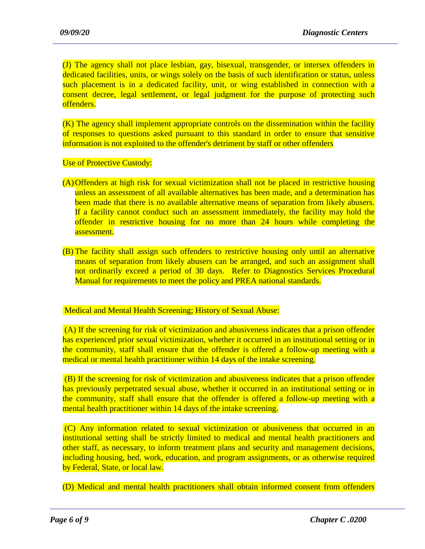(J) The agency shall not place lesbian, gay, bisexual, transgender, or intersex offenders in dedicated facilities, units, or wings solely on the basis of such identification or status, unless such placement is in a dedicated facility, unit, or wing established in connection with a consent decree, legal settlement, or legal judgment for the purpose of protecting such offenders.

(K) The agency shall implement appropriate controls on the dissemination within the facility of responses to questions asked pursuant to this standard in order to ensure that sensitive information is not exploited to the offender's detriment by staff or other offenders

Use of Protective Custody:

- (A)Offenders at high risk for sexual victimization shall not be placed in restrictive housing unless an assessment of all available alternatives has been made, and a determination has been made that there is no available alternative means of separation from likely abusers. If a facility cannot conduct such an assessment immediately, the facility may hold the offender in restrictive housing for no more than 24 hours while completing the assessment.
- (B) The facility shall assign such offenders to restrictive housing only until an alternative means of separation from likely abusers can be arranged, and such an assignment shall not ordinarily exceed a period of 30 days. Refer to Diagnostics Services Procedural Manual for requirements to meet the policy and PREA national standards.

### Medical and Mental Health Screening; History of Sexual Abuse:

(A) If the screening for risk of victimization and abusiveness indicates that a prison offender has experienced prior sexual victimization, whether it occurred in an institutional setting or in the community, staff shall ensure that the offender is offered a follow-up meeting with a medical or mental health practitioner within 14 days of the intake screening.

(B) If the screening for risk of victimization and abusiveness indicates that a prison offender has previously perpetrated sexual abuse, whether it occurred in an institutional setting or in the community, staff shall ensure that the offender is offered a follow-up meeting with a mental health practitioner within 14 days of the intake screening.

(C) Any information related to sexual victimization or abusiveness that occurred in an institutional setting shall be strictly limited to medical and mental health practitioners and other staff, as necessary, to inform treatment plans and security and management decisions, including housing, bed, work, education, and program assignments, or as otherwise required by Federal, State, or local law.

(D) Medical and mental health practitioners shall obtain informed consent from offenders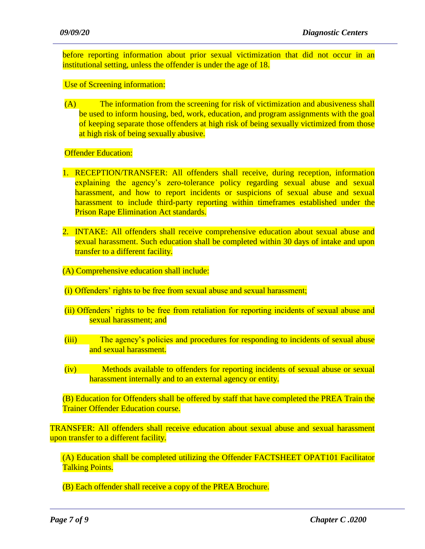before reporting information about prior sexual victimization that did not occur in an institutional setting, unless the offender is under the age of 18.

Use of Screening information:

(A) The information from the screening for risk of victimization and abusiveness shall be used to inform housing, bed, work, education, and program assignments with the goal of keeping separate those offenders at high risk of being sexually victimized from those at high risk of being sexually abusive.

Offender Education:

- 1. RECEPTION/TRANSFER: All offenders shall receive, during reception, information explaining the agency's zero-tolerance policy regarding sexual abuse and sexual harassment, and how to report incidents or suspicions of sexual abuse and sexual harassment to include third-party reporting within timeframes established under the Prison Rape Elimination Act standards.
- 2. INTAKE: All offenders shall receive comprehensive education about sexual abuse and sexual harassment. Such education shall be completed within 30 days of intake and upon transfer to a different facility.
- (A) Comprehensive education shall include:
- (i) Offenders' rights to be free from sexual abuse and sexual harassment;
- (ii) Offenders' rights to be free from retaliation for reporting incidents of sexual abuse and sexual harassment; and
- (iii) The agency's policies and procedures for responding to incidents of sexual abuse and sexual harassment.
- (iv) Methods available to offenders for reporting incidents of sexual abuse or sexual harassment internally and to an external agency or entity.

(B) Education for Offenders shall be offered by staff that have completed the PREA Train the Trainer Offender Education course.

TRANSFER: All offenders shall receive education about sexual abuse and sexual harassment upon transfer to a different facility.

 (A) Education shall be completed utilizing the Offender FACTSHEET OPAT101 Facilitator Talking Points.

(B) Each offender shall receive a copy of the PREA Brochure.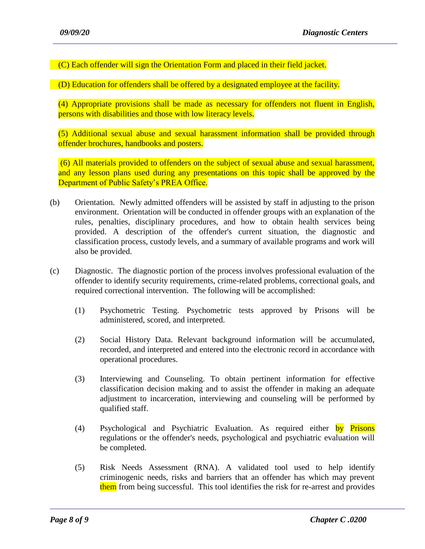(C) Each offender will sign the Orientation Form and placed in their field jacket.

(D) Education for offenders shall be offered by a designated employee at the facility.

(4) Appropriate provisions shall be made as necessary for offenders not fluent in English, persons with disabilities and those with low literacy levels.

(5) Additional sexual abuse and sexual harassment information shall be provided through offender brochures, handbooks and posters.

(6) All materials provided to offenders on the subject of sexual abuse and sexual harassment, and any lesson plans used during any presentations on this topic shall be approved by the Department of Public Safety's PREA Office.

- (b) Orientation. Newly admitted offenders will be assisted by staff in adjusting to the prison environment. Orientation will be conducted in offender groups with an explanation of the rules, penalties, disciplinary procedures, and how to obtain health services being provided. A description of the offender's current situation, the diagnostic and classification process, custody levels, and a summary of available programs and work will also be provided.
- (c) Diagnostic. The diagnostic portion of the process involves professional evaluation of the offender to identify security requirements, crime-related problems, correctional goals, and required correctional intervention. The following will be accomplished:
	- (1) Psychometric Testing. Psychometric tests approved by Prisons will be administered, scored, and interpreted.
	- (2) Social History Data. Relevant background information will be accumulated, recorded, and interpreted and entered into the electronic record in accordance with operational procedures.
	- (3) Interviewing and Counseling. To obtain pertinent information for effective classification decision making and to assist the offender in making an adequate adjustment to incarceration, interviewing and counseling will be performed by qualified staff.
	- (4) Psychological and Psychiatric Evaluation. As required either by Prisons regulations or the offender's needs, psychological and psychiatric evaluation will be completed.
	- (5) Risk Needs Assessment (RNA). A validated tool used to help identify criminogenic needs, risks and barriers that an offender has which may prevent them from being successful. This tool identifies the risk for re-arrest and provides